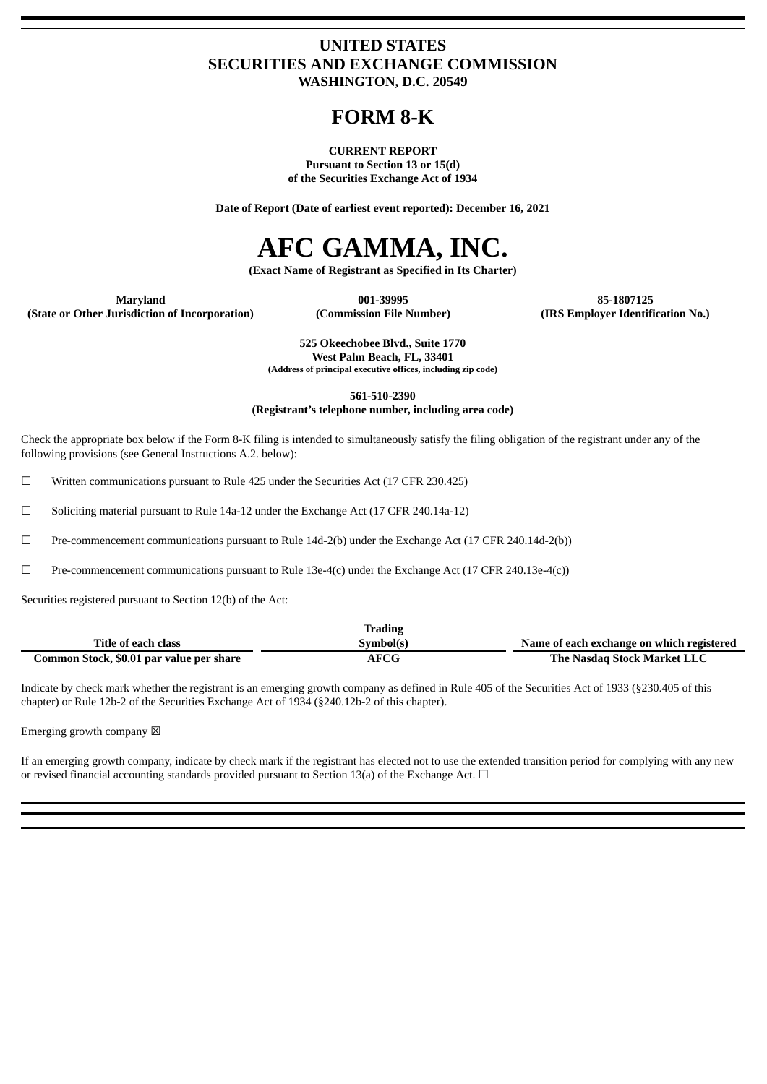### **UNITED STATES SECURITIES AND EXCHANGE COMMISSION WASHINGTON, D.C. 20549**

## **FORM 8-K**

#### **CURRENT REPORT Pursuant to Section 13 or 15(d) of the Securities Exchange Act of 1934**

**Date of Report (Date of earliest event reported): December 16, 2021**

# **AFC GAMMA, INC.**

**(Exact Name of Registrant as Specified in Its Charter)**

**Maryland 001-39995 85-1807125**

**(State or Other Jurisdiction of Incorporation) (Commission File Number) (IRS Employer Identification No.)**

**525 Okeechobee Blvd., Suite 1770 West Palm Beach, FL, 33401 (Address of principal executive offices, including zip code)**

**561-510-2390**

**(Registrant's telephone number, including area code)**

Check the appropriate box below if the Form 8-K filing is intended to simultaneously satisfy the filing obligation of the registrant under any of the following provisions (see General Instructions A.2. below):

☐ Written communications pursuant to Rule 425 under the Securities Act (17 CFR 230.425)

 $\Box$  Soliciting material pursuant to Rule 14a-12 under the Exchange Act (17 CFR 240.14a-12)

☐ Pre-commencement communications pursuant to Rule 14d-2(b) under the Exchange Act (17 CFR 240.14d-2(b))

☐ Pre-commencement communications pursuant to Rule 13e-4(c) under the Exchange Act (17 CFR 240.13e-4(c))

Securities registered pursuant to Section 12(b) of the Act:

|                                          | <b>Trading</b> |                                           |
|------------------------------------------|----------------|-------------------------------------------|
| Title of each class                      | Symbol(s)      | Name of each exchange on which registered |
| Common Stock, \$0.01 par value per share | AFCG           | The Nasdag Stock Market LLC               |

Indicate by check mark whether the registrant is an emerging growth company as defined in Rule 405 of the Securities Act of 1933 (§230.405 of this chapter) or Rule 12b-2 of the Securities Exchange Act of 1934 (§240.12b-2 of this chapter).

Emerging growth company  $\boxtimes$ 

If an emerging growth company, indicate by check mark if the registrant has elected not to use the extended transition period for complying with any new or revised financial accounting standards provided pursuant to Section 13(a) of the Exchange Act.  $\Box$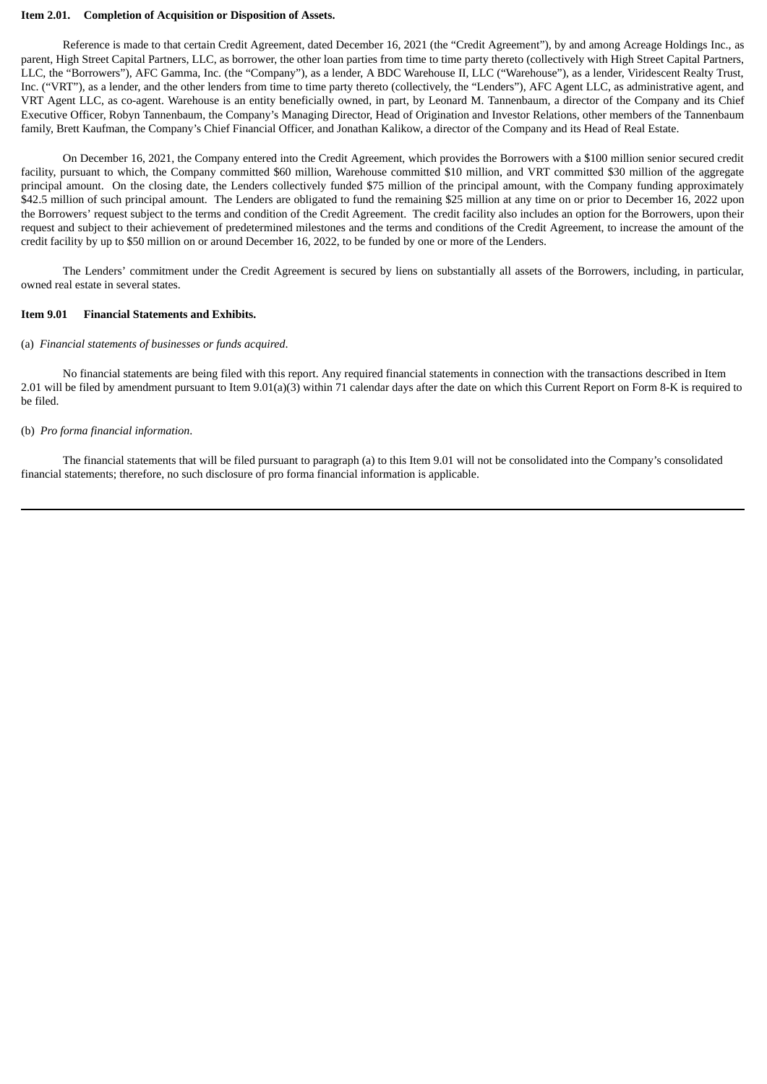#### **Item 2.01. Completion of Acquisition or Disposition of Assets.**

Reference is made to that certain Credit Agreement, dated December 16, 2021 (the "Credit Agreement"), by and among Acreage Holdings Inc., as parent, High Street Capital Partners, LLC, as borrower, the other loan parties from time to time party thereto (collectively with High Street Capital Partners, LLC, the "Borrowers"), AFC Gamma, Inc. (the "Company"), as a lender, A BDC Warehouse II, LLC ("Warehouse"), as a lender, Viridescent Realty Trust, Inc. ("VRT"), as a lender, and the other lenders from time to time party thereto (collectively, the "Lenders"), AFC Agent LLC, as administrative agent, and VRT Agent LLC, as co-agent. Warehouse is an entity beneficially owned, in part, by Leonard M. Tannenbaum, a director of the Company and its Chief Executive Officer, Robyn Tannenbaum, the Company's Managing Director, Head of Origination and Investor Relations, other members of the Tannenbaum family, Brett Kaufman, the Company's Chief Financial Officer, and Jonathan Kalikow, a director of the Company and its Head of Real Estate.

On December 16, 2021, the Company entered into the Credit Agreement, which provides the Borrowers with a \$100 million senior secured credit facility, pursuant to which, the Company committed \$60 million, Warehouse committed \$10 million, and VRT committed \$30 million of the aggregate principal amount. On the closing date, the Lenders collectively funded \$75 million of the principal amount, with the Company funding approximately \$42.5 million of such principal amount. The Lenders are obligated to fund the remaining \$25 million at any time on or prior to December 16, 2022 upon the Borrowers' request subject to the terms and condition of the Credit Agreement. The credit facility also includes an option for the Borrowers, upon their request and subject to their achievement of predetermined milestones and the terms and conditions of the Credit Agreement, to increase the amount of the credit facility by up to \$50 million on or around December 16, 2022, to be funded by one or more of the Lenders.

The Lenders' commitment under the Credit Agreement is secured by liens on substantially all assets of the Borrowers, including, in particular, owned real estate in several states.

#### **Item 9.01 Financial Statements and Exhibits.**

#### (a) *Financial statements of businesses or funds acquired*.

No financial statements are being filed with this report. Any required financial statements in connection with the transactions described in Item 2.01 will be filed by amendment pursuant to Item 9.01(a)(3) within 71 calendar days after the date on which this Current Report on Form 8-K is required to be filed.

#### (b) *Pro forma financial information*.

The financial statements that will be filed pursuant to paragraph (a) to this Item 9.01 will not be consolidated into the Company's consolidated financial statements; therefore, no such disclosure of pro forma financial information is applicable.